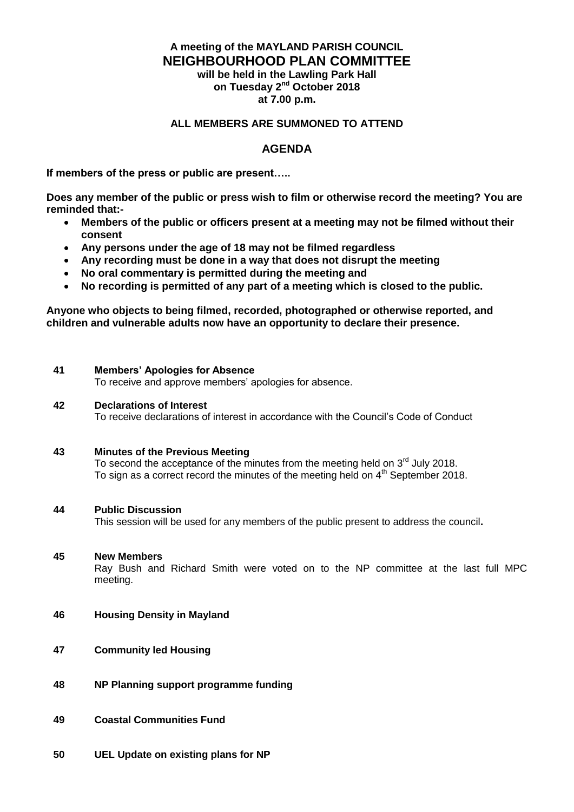# **A meeting of the MAYLAND PARISH COUNCIL NEIGHBOURHOOD PLAN COMMITTEE will be held in the Lawling Park Hall**

**on Tuesday 2 nd October 2018 at 7.00 p.m.**

## **ALL MEMBERS ARE SUMMONED TO ATTEND**

## **AGENDA**

**If members of the press or public are present…..**

**Does any member of the public or press wish to film or otherwise record the meeting? You are reminded that:-**

- **Members of the public or officers present at a meeting may not be filmed without their consent**
- **Any persons under the age of 18 may not be filmed regardless**
- **Any recording must be done in a way that does not disrupt the meeting**
- **No oral commentary is permitted during the meeting and**
- **No recording is permitted of any part of a meeting which is closed to the public.**

**Anyone who objects to being filmed, recorded, photographed or otherwise reported, and children and vulnerable adults now have an opportunity to declare their presence.**

### **41 Members' Apologies for Absence**

To receive and approve members' apologies for absence.

#### **42 Declarations of Interest**

To receive declarations of interest in accordance with the Council's Code of Conduct

### **43 Minutes of the Previous Meeting**

To second the acceptance of the minutes from the meeting held on  $3<sup>rd</sup>$  July 2018. To sign as a correct record the minutes of the meeting held on 4<sup>th</sup> September 2018.

#### **44 Public Discussion**

This session will be used for any members of the public present to address the council**.**

### **45 New Members**

Ray Bush and Richard Smith were voted on to the NP committee at the last full MPC meeting.

- **46 Housing Density in Mayland**
- **47 Community led Housing**
- **48 NP Planning support programme funding**
- **49 Coastal Communities Fund**
- **50 UEL Update on existing plans for NP**